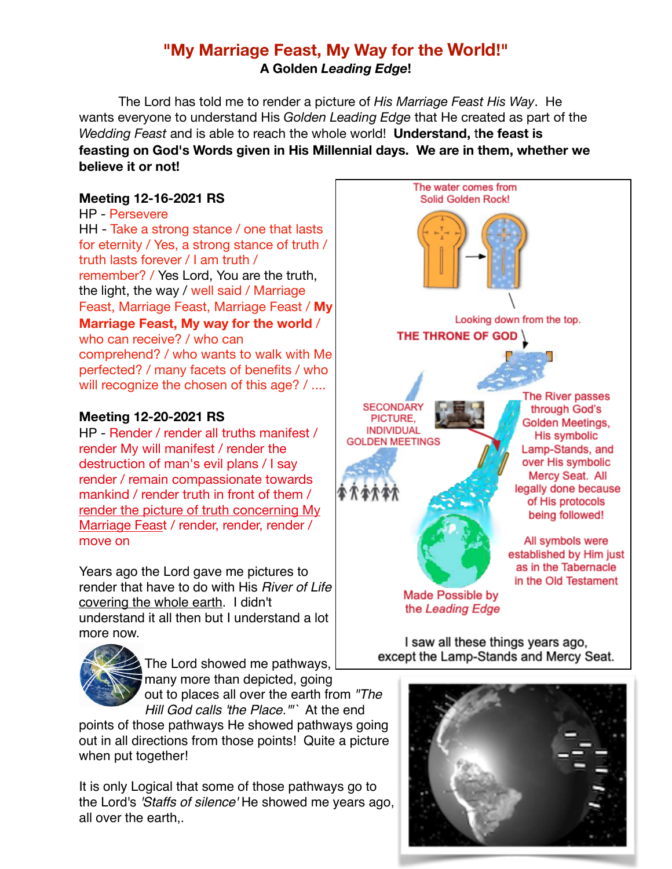# **"My Marriage Feast, My Way for the World!" A Golden** *Leading Edge***!**

The Lord has told me to render a picture of *His Marriage Feast His Way*. He wants everyone to understand His *Golden Leading Edge* that He created as part of the *Wedding Feast* and is able to reach the whole world! **Understand,** t**he feast is feasting on God's Words given in His Millennial days. We are in them, whether we believe it or not!**

# **Meeting 12-16-2021 RS**

HP - Persevere HH - Take a strong stance / one that lasts for eternity / Yes, a strong stance of truth / truth lasts forever / I am truth / remember? / Yes Lord, You are the truth, the light, the way / well said / Marriage Feast, Marriage Feast, Marriage Feast / **My Marriage Feast, My way for the world** / who can receive? / who can comprehend? / who wants to walk with Me perfected? / many facets of benefits / who will recognize the chosen of this age? / ....

# **Meeting 12-20-2021 RS**

HP - Render / render all truths manifest / render My will manifest / render the destruction of man's evil plans / I say render / remain compassionate towards mankind / render truth in front of them / render the picture of truth concerning My Marriage Feast / render, render, render / move on

Years ago the Lord gave me pictures to render that have to do with His *River of Life* covering the whole earth. I didn't understand it all then but I understand a lot more now.



The Lord showed me pathways, many more than depicted, going out to places all over the earth from *"The* 

*Hill God calls 'the Place.'"`* At the end points of those pathways He showed pathways going out in all directions from those points! Quite a picture when put together!

It is only Logical that some of those pathways go to the Lord's *'Staffs of silence'* He showed me years ago, all over the earth,.



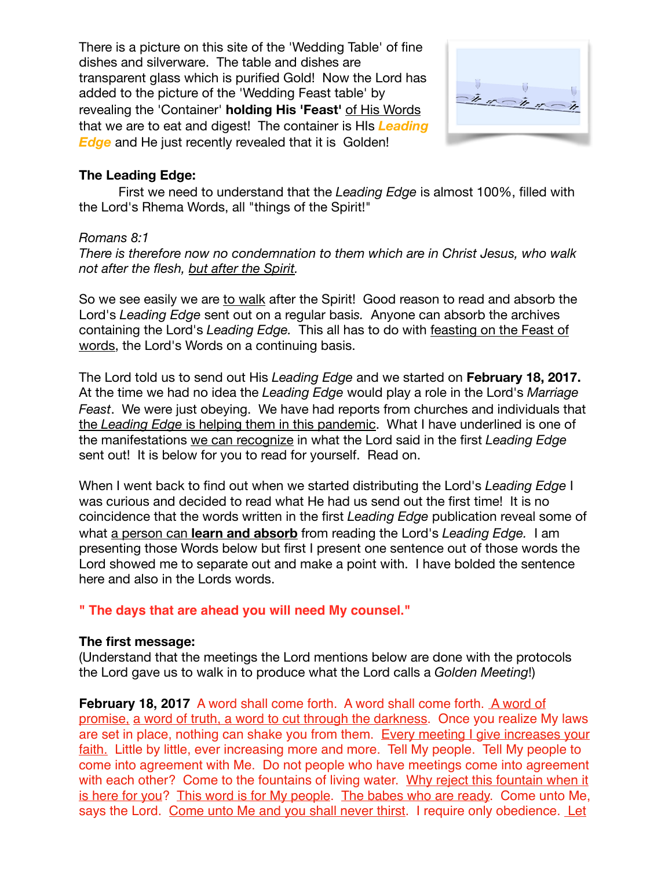There is a picture on this site of the 'Wedding Table' of fine dishes and silverware. The table and dishes are transparent glass which is purified Gold! Now the Lord has added to the picture of the 'Wedding Feast table' by revealing the 'Container' **holding His 'Feast'** of His Words that we are to eat and digest! The container is HIs *Leading Edge* and He just recently revealed that it is Golden!



#### **The Leading Edge:**

First we need to understand that the *Leading Edge* is almost 100%, filled with the Lord's Rhema Words, all "things of the Spirit!"

#### *Romans 8:1*

*There is therefore now no condemnation to them which are in Christ Jesus, who walk not after the flesh, but after the Spirit.* 

So we see easily we are to walk after the Spirit! Good reason to read and absorb the Lord's *Leading Edge* sent out on a regular basi*s.* Anyone can absorb the archives containing the Lord's *Leading Edge.* This all has to do with feasting on the Feast of words, the Lord's Words on a continuing basis.

The Lord told us to send out His *Leading Edge* and we started on **February 18, 2017.**  At the time we had no idea the *Leading Edge* would play a role in the Lord's *Marriage Feast*. We were just obeying.We have had reports from churches and individuals that the *Leading Edge* is helping them in this pandemic. What I have underlined is one of the manifestations we can recognize in what the Lord said in the first *Leading Edge* sent out! It is below for you to read for yourself. Read on.

When I went back to find out when we started distributing the Lord's *Leading Edge* I was curious and decided to read what He had us send out the first time! It is no coincidence that the words written in the first *Leading Edge* publication reveal some of what a person can **learn and absorb** from reading the Lord's *Leading Edge.* I am presenting those Words below but first I present one sentence out of those words the Lord showed me to separate out and make a point with. I have bolded the sentence here and also in the Lords words.

#### **" The days that are ahead you will need My counsel."**

#### **The first message:**

(Understand that the meetings the Lord mentions below are done with the protocols the Lord gave us to walk in to produce what the Lord calls a *Golden Meeting*!)

**February 18, 2017** A word shall come forth. A word shall come forth. A word of promise, a word of truth, a word to cut through the darkness. Once you realize My laws are set in place, nothing can shake you from them. Every meeting I give increases your faith. Little by little, ever increasing more and more. Tell My people. Tell My people to come into agreement with Me. Do not people who have meetings come into agreement with each other? Come to the fountains of living water. Why reject this fountain when it is here for you? This word is for My people. The babes who are ready. Come unto Me. says the Lord. Come unto Me and you shall never thirst. I require only obedience. Let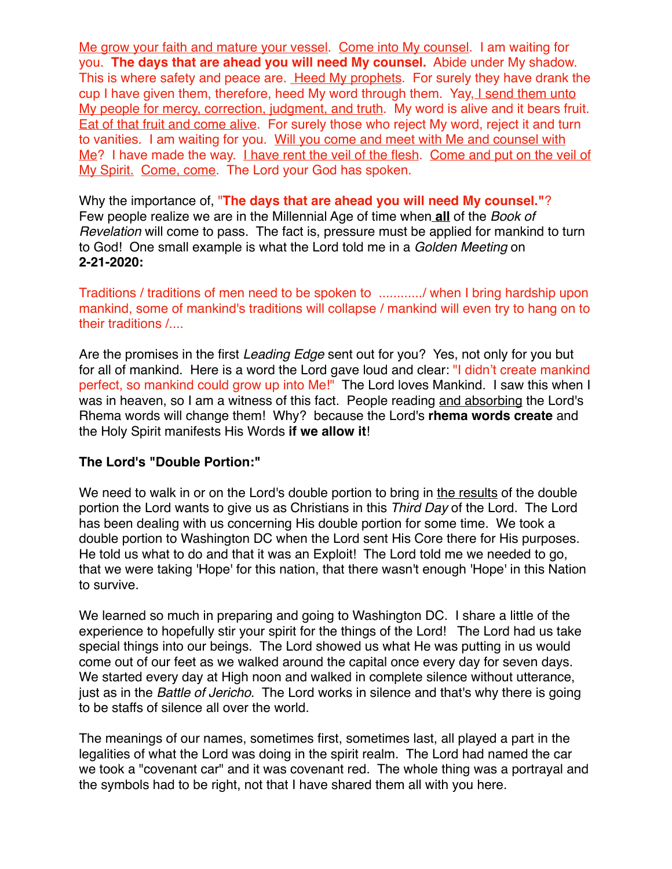Me grow your faith and mature your vessel. Come into My counsel. I am waiting for you. **The days that are ahead you will need My counsel.** Abide under My shadow. This is where safety and peace are. Heed My prophets. For surely they have drank the cup I have given them, therefore, heed My word through them. Yay, I send them unto My people for mercy, correction, judgment, and truth. My word is alive and it bears fruit. Eat of that fruit and come alive. For surely those who reject My word, reject it and turn to vanities. I am waiting for you. Will you come and meet with Me and counsel with Me? I have made the way. I have rent the veil of the flesh. Come and put on the veil of My Spirit. Come, come. The Lord your God has spoken.

Why the importance of, "**The days that are ahead you will need My counsel."**? Few people realize we are in the Millennial Age of time when **all** of the *Book of Revelation* will come to pass. The fact is, pressure must be applied for mankind to turn to God! One small example is what the Lord told me in a *Golden Meeting* on **2-21-2020:**

Traditions / traditions of men need to be spoken to ............/ when I bring hardship upon mankind, some of mankind's traditions will collapse / mankind will even try to hang on to their traditions /....

Are the promises in the first *Leading Edge* sent out for you? Yes, not only for you but for all of mankind. Here is a word the Lord gave loud and clear: "I didn't create mankind perfect, so mankind could grow up into Me!" The Lord loves Mankind. I saw this when I was in heaven, so I am a witness of this fact. People reading and absorbing the Lord's Rhema words will change them! Why? because the Lord's **rhema words create** and the Holy Spirit manifests His Words **if we allow it**!

### **The Lord's "Double Portion:"**

We need to walk in or on the Lord's double portion to bring in the results of the double portion the Lord wants to give us as Christians in this *Third Day* of the Lord. The Lord has been dealing with us concerning His double portion for some time. We took a double portion to Washington DC when the Lord sent His Core there for His purposes. He told us what to do and that it was an Exploit! The Lord told me we needed to go, that we were taking 'Hope' for this nation, that there wasn't enough 'Hope' in this Nation to survive.

We learned so much in preparing and going to Washington DC. I share a little of the experience to hopefully stir your spirit for the things of the Lord! The Lord had us take special things into our beings. The Lord showed us what He was putting in us would come out of our feet as we walked around the capital once every day for seven days. We started every day at High noon and walked in complete silence without utterance, just as in the *Battle of Jericho*. The Lord works in silence and that's why there is going to be staffs of silence all over the world.

The meanings of our names, sometimes first, sometimes last, all played a part in the legalities of what the Lord was doing in the spirit realm. The Lord had named the car we took a "covenant car" and it was covenant red. The whole thing was a portrayal and the symbols had to be right, not that I have shared them all with you here.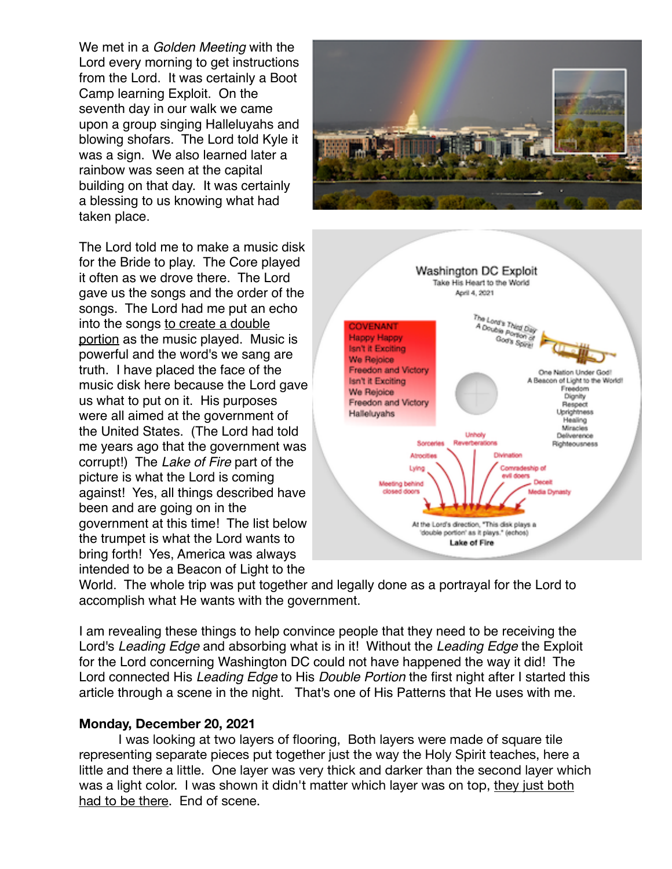We met in a *Golden Meeting* with the Lord every morning to get instructions from the Lord. It was certainly a Boot Camp learning Exploit. On the seventh day in our walk we came upon a group singing Halleluyahs and blowing shofars. The Lord told Kyle it was a sign. We also learned later a rainbow was seen at the capital building on that day. It was certainly a blessing to us knowing what had taken place.

The Lord told me to make a music disk for the Bride to play. The Core played it often as we drove there. The Lord gave us the songs and the order of the songs. The Lord had me put an echo into the songs to create a double portion as the music played. Music is powerful and the word's we sang are truth. I have placed the face of the music disk here because the Lord gave us what to put on it. His purposes were all aimed at the government of the United States. (The Lord had told me years ago that the government was corrupt!) The *Lake of Fire* part of the picture is what the Lord is coming against! Yes, all things described have been and are going on in the government at this time! The list below the trumpet is what the Lord wants to bring forth! Yes, America was always intended to be a Beacon of Light to the





World. The whole trip was put together and legally done as a portrayal for the Lord to accomplish what He wants with the government.

I am revealing these things to help convince people that they need to be receiving the Lord's *Leading Edge* and absorbing what is in it! Without the *Leading Edge* the Exploit for the Lord concerning Washington DC could not have happened the way it did! The Lord connected His *Leading Edge* to His *Double Portion* the first night after I started this article through a scene in the night. That's one of His Patterns that He uses with me.

#### **Monday, December 20, 2021**

I was looking at two layers of flooring, Both layers were made of square tile representing separate pieces put together just the way the Holy Spirit teaches, here a little and there a little. One layer was very thick and darker than the second layer which was a light color. I was shown it didn't matter which layer was on top, they just both had to be there. End of scene.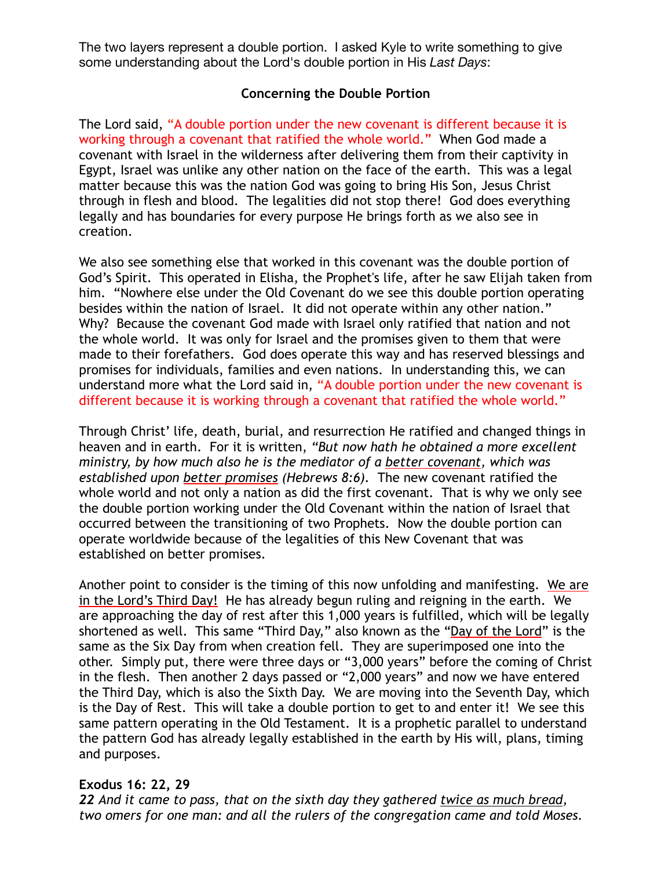The two layers represent a double portion. I asked Kyle to write something to give some understanding about the Lord's double portion in His *Last Days*:

## **Concerning the Double Portion**

The Lord said, "A double portion under the new covenant is different because it is working through a covenant that ratified the whole world." When God made a covenant with Israel in the wilderness after delivering them from their captivity in Egypt, Israel was unlike any other nation on the face of the earth. This was a legal matter because this was the nation God was going to bring His Son, Jesus Christ through in flesh and blood. The legalities did not stop there! God does everything legally and has boundaries for every purpose He brings forth as we also see in creation.

We also see something else that worked in this covenant was the double portion of God's Spirit. This operated in Elisha, the Prophet's life, after he saw Elijah taken from him. "Nowhere else under the Old Covenant do we see this double portion operating besides within the nation of Israel. It did not operate within any other nation." Why? Because the covenant God made with Israel only ratified that nation and not the whole world. It was only for Israel and the promises given to them that were made to their forefathers. God does operate this way and has reserved blessings and promises for individuals, families and even nations. In understanding this, we can understand more what the Lord said in, "A double portion under the new covenant is different because it is working through a covenant that ratified the whole world."

Through Christ' life, death, burial, and resurrection He ratified and changed things in heaven and in earth. For it is written, *"But now hath he obtained a more excellent ministry, by how much also he is the mediator of a better covenant, which was established upon better promises (Hebrews 8:6).* The new covenant ratified the whole world and not only a nation as did the first covenant. That is why we only see the double portion working under the Old Covenant within the nation of Israel that occurred between the transitioning of two Prophets. Now the double portion can operate worldwide because of the legalities of this New Covenant that was established on better promises.

Another point to consider is the timing of this now unfolding and manifesting. We are in the Lord's Third Day! He has already begun ruling and reigning in the earth. We are approaching the day of rest after this 1,000 years is fulfilled, which will be legally shortened as well. This same "Third Day," also known as the "Day of the Lord" is the same as the Six Day from when creation fell. They are superimposed one into the other. Simply put, there were three days or "3,000 years" before the coming of Christ in the flesh. Then another 2 days passed or "2,000 years" and now we have entered the Third Day, which is also the Sixth Day. We are moving into the Seventh Day, which is the Day of Rest. This will take a double portion to get to and enter it! We see this same pattern operating in the Old Testament. It is a prophetic parallel to understand the pattern God has already legally established in the earth by His will, plans, timing and purposes.

### **Exodus 16: 22, 29**

*22 And it came to pass, that on the sixth day they gathered twice as much bread, two omers for one man: and all the rulers of the congregation came and told Moses.*